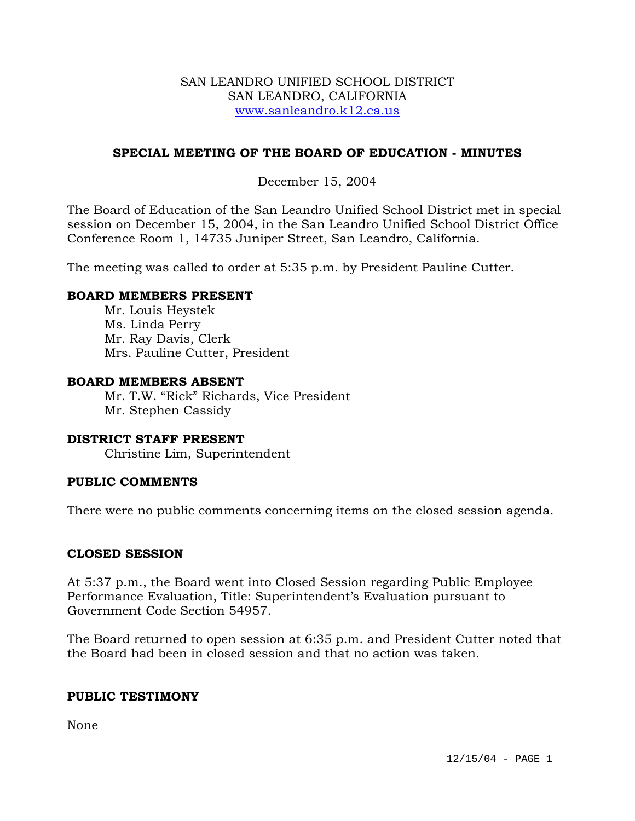### SAN LEANDRO UNIFIED SCHOOL DISTRICT SAN LEANDRO, CALIFORNIA www.sanleandro.k12.ca.us

# **SPECIAL MEETING OF THE BOARD OF EDUCATION - MINUTES**

# December 15, 2004

The Board of Education of the San Leandro Unified School District met in special session on December 15, 2004, in the San Leandro Unified School District Office Conference Room 1, 14735 Juniper Street, San Leandro, California.

The meeting was called to order at 5:35 p.m. by President Pauline Cutter.

#### **BOARD MEMBERS PRESENT**

Mr. Louis Heystek Ms. Linda Perry Mr. Ray Davis, Clerk Mrs. Pauline Cutter, President

## **BOARD MEMBERS ABSENT**

 Mr. T.W. "Rick" Richards, Vice President Mr. Stephen Cassidy

#### **DISTRICT STAFF PRESENT**

Christine Lim, Superintendent

#### **PUBLIC COMMENTS**

There were no public comments concerning items on the closed session agenda.

#### **CLOSED SESSION**

At 5:37 p.m., the Board went into Closed Session regarding Public Employee Performance Evaluation, Title: Superintendent's Evaluation pursuant to Government Code Section 54957.

The Board returned to open session at 6:35 p.m. and President Cutter noted that the Board had been in closed session and that no action was taken.

#### **PUBLIC TESTIMONY**

None